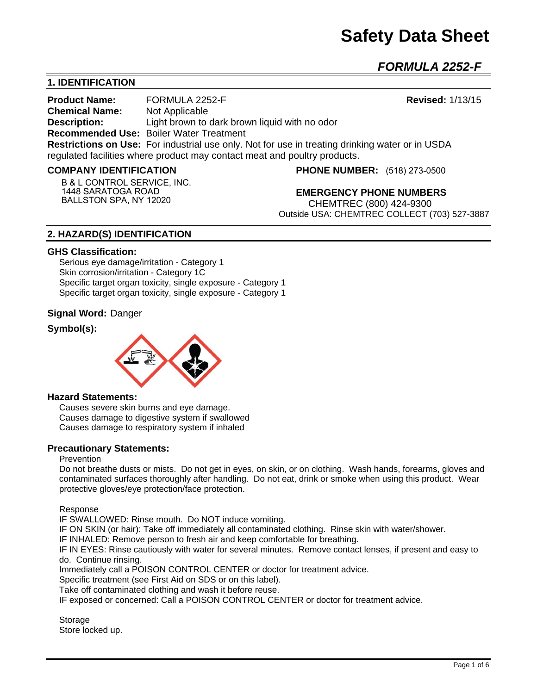*FORMULA 2252-F* 

# **1. IDENTIFICATION**

**Product Name:** FORMULA 2252-F **Revised:** 1/13/15 **Chemical Name:** Not Applicable **Description:** Light brown to dark brown liquid with no odor **Recommended Use:** Boiler Water Treatment **Restrictions on Use:** For industrial use only. Not for use in treating drinking water or in USDA regulated facilities where product may contact meat and poultry products.

#### **COMPANY IDENTIFICATION**

**B & L CONTROL SERVICE, INC. 1448 SARATOGA ROAD BALLSTON SPA, NY 12020**

**PHONE NUMBER:** (518) 273-0500

**EMERGENCY PHONE NUMBERS** CHEMTREC (800) 424-9300 Outside USA: CHEMTREC COLLECT (703) 527-3887

# **2. HAZARD(S) IDENTIFICATION**

#### **GHS Classification:**

Serious eye damage/irritation - Category 1 Skin corrosion/irritation - Category 1C Specific target organ toxicity, single exposure - Category 1 Specific target organ toxicity, single exposure - Category 1

### **Signal Word:** Danger

# **Symbol(s):**



#### **Hazard Statements:**

Causes severe skin burns and eye damage. Causes damage to digestive system if swallowed Causes damage to respiratory system if inhaled

#### **Precautionary Statements:**

#### Prevention

Do not breathe dusts or mists. Do not get in eyes, on skin, or on clothing. Wash hands, forearms, gloves and contaminated surfaces thoroughly after handling. Do not eat, drink or smoke when using this product. Wear protective gloves/eye protection/face protection.

Response

IF SWALLOWED: Rinse mouth. Do NOT induce vomiting.

IF ON SKIN (or hair): Take off immediately all contaminated clothing. Rinse skin with water/shower.

IF INHALED: Remove person to fresh air and keep comfortable for breathing.

IF IN EYES: Rinse cautiously with water for several minutes. Remove contact lenses, if present and easy to do. Continue rinsing.

Immediately call a POISON CONTROL CENTER or doctor for treatment advice.

Specific treatment (see First Aid on SDS or on this label).

Take off contaminated clothing and wash it before reuse.

IF exposed or concerned: Call a POISON CONTROL CENTER or doctor for treatment advice.

**Storage** Store locked up.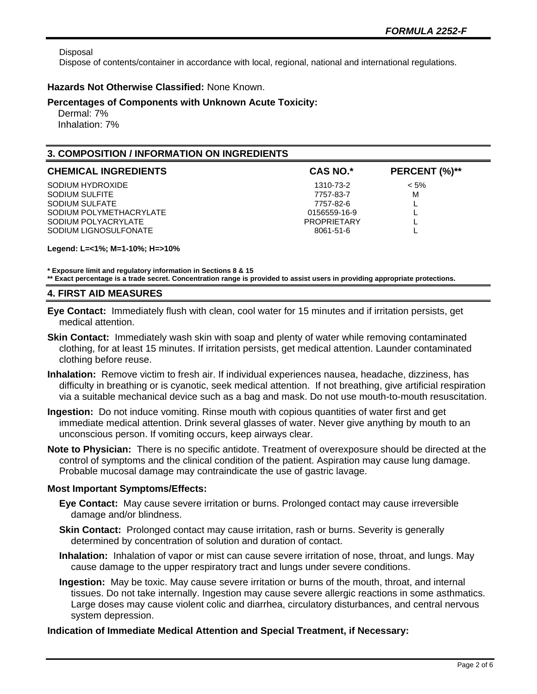Disposal

Dispose of contents/container in accordance with local, regional, national and international regulations.

## **Hazards Not Otherwise Classified:** None Known.

## **Percentages of Components with Unknown Acute Toxicity:**

 Dermal: 7% Inhalation: 7%

# **3. COMPOSITION / INFORMATION ON INGREDIENTS**

| <b>CHEMICAL INGREDIENTS</b> | <b>CAS NO.*</b>    | PERCENT (%)** |
|-----------------------------|--------------------|---------------|
| SODIUM HYDROXIDE            | 1310-73-2          | $< 5\%$       |
| SODIUM SULFITE              | 7757-83-7          | м             |
| SODIUM SULFATE              | 7757-82-6          |               |
| SODIUM POLYMETHACRYLATE     | 0156559-16-9       |               |
| SODIUM POLYACRYLATE         | <b>PROPRIFTARY</b> |               |
| SODIUM LIGNOSULFONATE       | 8061-51-6          |               |

**Legend: L=<1%; M=1-10%; H=>10%**

**\* Exposure limit and regulatory information in Sections 8 & 15**

**\*\* Exact percentage is a trade secret. Concentration range is provided to assist users in providing appropriate protections.**

## **4. FIRST AID MEASURES**

- **Eye Contact:** Immediately flush with clean, cool water for 15 minutes and if irritation persists, get medical attention.
- **Skin Contact:** Immediately wash skin with soap and plenty of water while removing contaminated clothing, for at least 15 minutes. If irritation persists, get medical attention. Launder contaminated clothing before reuse.
- **Inhalation:** Remove victim to fresh air. If individual experiences nausea, headache, dizziness, has difficulty in breathing or is cyanotic, seek medical attention. If not breathing, give artificial respiration via a suitable mechanical device such as a bag and mask. Do not use mouth-to-mouth resuscitation.
- **Ingestion:** Do not induce vomiting. Rinse mouth with copious quantities of water first and get immediate medical attention. Drink several glasses of water. Never give anything by mouth to an unconscious person. If vomiting occurs, keep airways clear.
- **Note to Physician:** There is no specific antidote. Treatment of overexposure should be directed at the control of symptoms and the clinical condition of the patient. Aspiration may cause lung damage. Probable mucosal damage may contraindicate the use of gastric lavage.

## **Most Important Symptoms/Effects:**

- **Eye Contact:** May cause severe irritation or burns. Prolonged contact may cause irreversible damage and/or blindness.
- **Skin Contact:** Prolonged contact may cause irritation, rash or burns. Severity is generally determined by concentration of solution and duration of contact.
- **Inhalation:** Inhalation of vapor or mist can cause severe irritation of nose, throat, and lungs. May cause damage to the upper respiratory tract and lungs under severe conditions.
- **Ingestion:** May be toxic. May cause severe irritation or burns of the mouth, throat, and internal tissues. Do not take internally. Ingestion may cause severe allergic reactions in some asthmatics. Large doses may cause violent colic and diarrhea, circulatory disturbances, and central nervous system depression.

## **Indication of Immediate Medical Attention and Special Treatment, if Necessary:**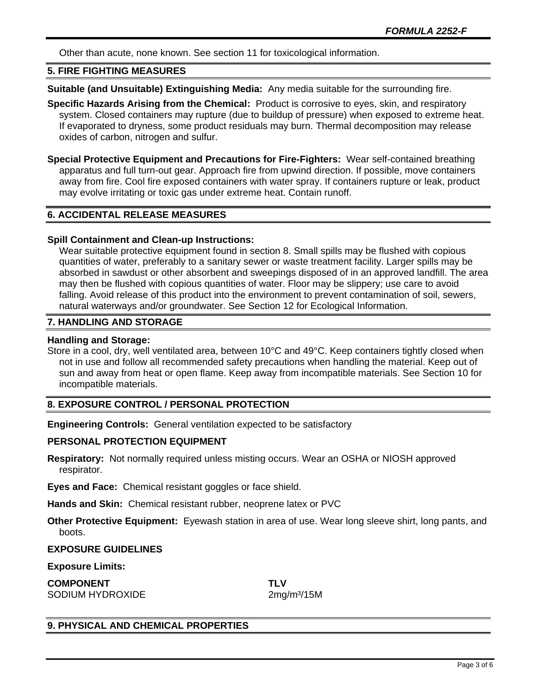Other than acute, none known. See section 11 for toxicological information.

### **5. FIRE FIGHTING MEASURES**

**Suitable (and Unsuitable) Extinguishing Media:** Any media suitable for the surrounding fire.

**Specific Hazards Arising from the Chemical:** Product is corrosive to eyes, skin, and respiratory system. Closed containers may rupture (due to buildup of pressure) when exposed to extreme heat. If evaporated to dryness, some product residuals may burn. Thermal decomposition may release oxides of carbon, nitrogen and sulfur.

**Special Protective Equipment and Precautions for Fire-Fighters:** Wear self-contained breathing apparatus and full turn-out gear. Approach fire from upwind direction. If possible, move containers away from fire. Cool fire exposed containers with water spray. If containers rupture or leak, product may evolve irritating or toxic gas under extreme heat. Contain runoff.

# **6. ACCIDENTAL RELEASE MEASURES**

#### **Spill Containment and Clean-up Instructions:**

Wear suitable protective equipment found in section 8. Small spills may be flushed with copious quantities of water, preferably to a sanitary sewer or waste treatment facility. Larger spills may be absorbed in sawdust or other absorbent and sweepings disposed of in an approved landfill. The area may then be flushed with copious quantities of water. Floor may be slippery; use care to avoid falling. Avoid release of this product into the environment to prevent contamination of soil, sewers, natural waterways and/or groundwater. See Section 12 for Ecological Information.

## **7. HANDLING AND STORAGE**

### **Handling and Storage:**

Store in a cool, dry, well ventilated area, between 10°C and 49°C. Keep containers tightly closed when not in use and follow all recommended safety precautions when handling the material. Keep out of sun and away from heat or open flame. Keep away from incompatible materials. See Section 10 for incompatible materials.

# **8. EXPOSURE CONTROL / PERSONAL PROTECTION**

**Engineering Controls:** General ventilation expected to be satisfactory

#### **PERSONAL PROTECTION EQUIPMENT**

**Respiratory:** Not normally required unless misting occurs. Wear an OSHA or NIOSH approved respirator.

**Eyes and Face:** Chemical resistant goggles or face shield.

**Hands and Skin:** Chemical resistant rubber, neoprene latex or PVC

**Other Protective Equipment:** Eyewash station in area of use. Wear long sleeve shirt, long pants, and boots.

## **EXPOSURE GUIDELINES**

**Exposure Limits:** 

**COMPONENT TLV** SODIUM HYDROXIDE 2mg/m<sup>3</sup>/15M

# **9. PHYSICAL AND CHEMICAL PROPERTIES**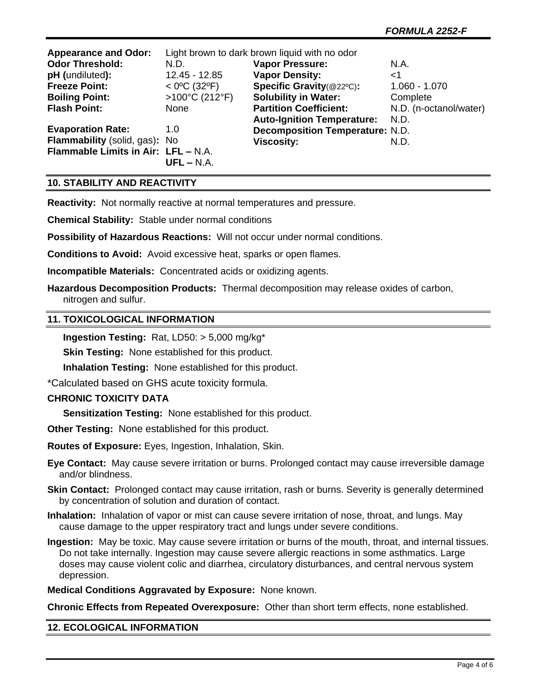| <b>Appearance and Odor:</b>         | Light brown to dark brown liquid with no odor |                                        |                        |
|-------------------------------------|-----------------------------------------------|----------------------------------------|------------------------|
| <b>Odor Threshold:</b>              | N.D.                                          | <b>Vapor Pressure:</b>                 | N.A.                   |
| pH (undiluted):                     | 12.45 - 12.85                                 | <b>Vapor Density:</b>                  | <1                     |
| <b>Freeze Point:</b>                | $<$ 0°C (32°F)                                | Specific Gravity(@22°C):               | $1.060 - 1.070$        |
| <b>Boiling Point:</b>               | >100°C (212°F)                                | <b>Solubility in Water:</b>            | Complete               |
| <b>Flash Point:</b>                 | None                                          | <b>Partition Coefficient:</b>          | N.D. (n-octanol/water) |
|                                     |                                               | <b>Auto-Ignition Temperature:</b>      | N.D.                   |
| <b>Evaporation Rate:</b>            | 1.0                                           | <b>Decomposition Temperature: N.D.</b> |                        |
| Flammability (solid, gas): No       |                                               | <b>Viscosity:</b>                      | N.D.                   |
| Flammable Limits in Air: LFL - N.A. |                                               |                                        |                        |
|                                     | $UFL - N.A.$                                  |                                        |                        |

# **10. STABILITY AND REACTIVITY**

**Reactivity:** Not normally reactive at normal temperatures and pressure.

**Chemical Stability:** Stable under normal conditions

**Possibility of Hazardous Reactions:** Will not occur under normal conditions.

**Conditions to Avoid:** Avoid excessive heat, sparks or open flames.

**Incompatible Materials:** Concentrated acids or oxidizing agents.

**Hazardous Decomposition Products:** Thermal decomposition may release oxides of carbon, nitrogen and sulfur.

### **11. TOXICOLOGICAL INFORMATION**

**Ingestion Testing:** Rat, LD50: > 5,000 mg/kg\*

**Skin Testing: None established for this product.** 

**Inhalation Testing:** None established for this product.

\*Calculated based on GHS acute toxicity formula.

#### **CHRONIC TOXICITY DATA**

**Sensitization Testing:** None established for this product.

**Other Testing:** None established for this product.

**Routes of Exposure:** Eyes, Ingestion, Inhalation, Skin.

**Eye Contact:** May cause severe irritation or burns. Prolonged contact may cause irreversible damage and/or blindness.

**Skin Contact:** Prolonged contact may cause irritation, rash or burns. Severity is generally determined by concentration of solution and duration of contact.

**Inhalation:** Inhalation of vapor or mist can cause severe irritation of nose, throat, and lungs. May cause damage to the upper respiratory tract and lungs under severe conditions.

**Ingestion:** May be toxic. May cause severe irritation or burns of the mouth, throat, and internal tissues. Do not take internally. Ingestion may cause severe allergic reactions in some asthmatics. Large doses may cause violent colic and diarrhea, circulatory disturbances, and central nervous system depression.

**Medical Conditions Aggravated by Exposure:** None known.

**Chronic Effects from Repeated Overexposure:** Other than short term effects, none established.

#### **12. ECOLOGICAL INFORMATION**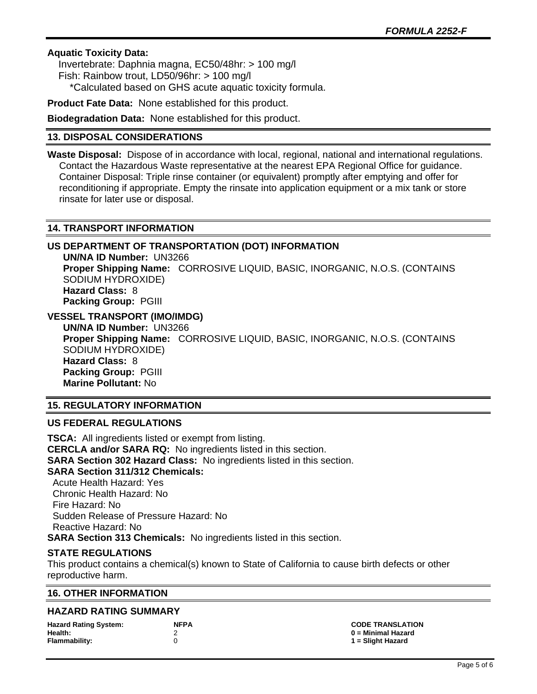# **Aquatic Toxicity Data:**

 Invertebrate: Daphnia magna, EC50/48hr: > 100 mg/l Fish: Rainbow trout, LD50/96hr: > 100 mg/l \*Calculated based on GHS acute aquatic toxicity formula.

**Product Fate Data:** None established for this product.

**Biodegradation Data:** None established for this product.

# **13. DISPOSAL CONSIDERATIONS**

**Waste Disposal:** Dispose of in accordance with local, regional, national and international regulations. Contact the Hazardous Waste representative at the nearest EPA Regional Office for guidance. Container Disposal: Triple rinse container (or equivalent) promptly after emptying and offer for reconditioning if appropriate. Empty the rinsate into application equipment or a mix tank or store rinsate for later use or disposal.

# **14. TRANSPORT INFORMATION**

# **US DEPARTMENT OF TRANSPORTATION (DOT) INFORMATION**

**UN/NA ID Number:** UN3266 **Proper Shipping Name:** CORROSIVE LIQUID, BASIC, INORGANIC, N.O.S. (CONTAINS SODIUM HYDROXIDE) **Hazard Class:** 8 **Packing Group:** PGIII

**VESSEL TRANSPORT (IMO/IMDG)**

**UN/NA ID Number:** UN3266 **Proper Shipping Name:** CORROSIVE LIQUID, BASIC, INORGANIC, N.O.S. (CONTAINS SODIUM HYDROXIDE) **Hazard Class:** 8 **Packing Group:** PGIII **Marine Pollutant:** No

# **15. REGULATORY INFORMATION**

## **US FEDERAL REGULATIONS**

**TSCA:** All ingredients listed or exempt from listing. **CERCLA and/or SARA RQ:** No ingredients listed in this section. **SARA Section 302 Hazard Class:** No ingredients listed in this section. **SARA Section 311/312 Chemicals:**  Acute Health Hazard: Yes Chronic Health Hazard: No Fire Hazard: No Sudden Release of Pressure Hazard: No Reactive Hazard: No

**SARA Section 313 Chemicals:** No ingredients listed in this section.

# **STATE REGULATIONS**

This product contains a chemical(s) known to State of California to cause birth defects or other reproductive harm.

## **16. OTHER INFORMATION**

## **HAZARD RATING SUMMARY**

| <b>Hazard Rating System:</b> | NFP. |
|------------------------------|------|
| Health:                      | -2   |
| Flammability:                | ∩    |

**Hazard Rating System: NFPA CODE TRANSLATION Health:** 2 **0 = Minimal Hazard Flammability:** 0 **1 = Slight Hazard**